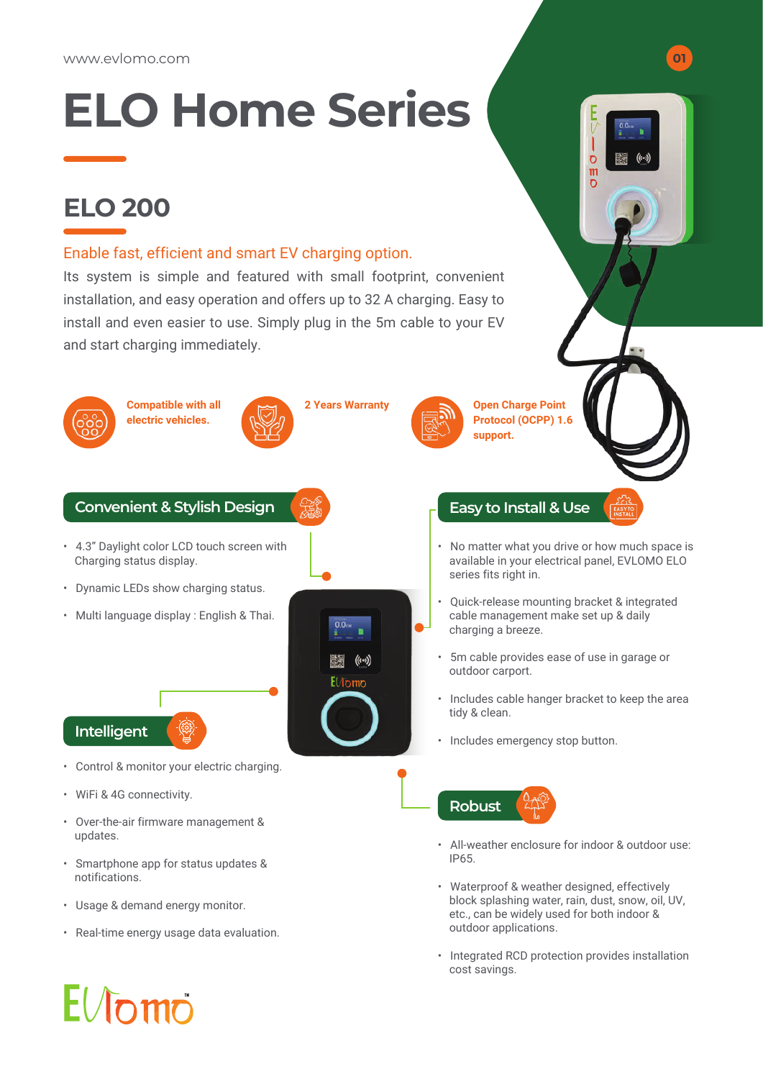# **ELO Home Series**

### **ELO 200**

#### Enable fast, efficient and smart EV charging option.

Its system is simple and featured with small footprint, convenient installation, and easy operation and offers up to 32 A charging. Easy to install and even easier to use. Simply plug in the 5m cable to your EV and start charging immediately.



- Usage & demand energy monitor.
- Real-time energy usage data evaluation.

**Open Charge Point Protocol (OCPP) 1.6** 

**support.**

• No matter what you drive or how much space is available in your electrical panel, EVLOMO ELO series fits right in.

 $\overline{c}$ m

- Quick-release mounting bracket & integrated cable management make set up & daily charging a breeze.
- 5m cable provides ease of use in garage or outdoor carport.
- Includes cable hanger bracket to keep the area tidy & clean.
- Includes emergency stop button.



- All-weather enclosure for indoor & outdoor use: IP65.
- Waterproof & weather designed, effectively block splashing water, rain, dust, snow, oil, UV, etc., can be widely used for both indoor & outdoor applications.
- Integrated RCD protection provides installation cost savings.

# $E/J$ omo